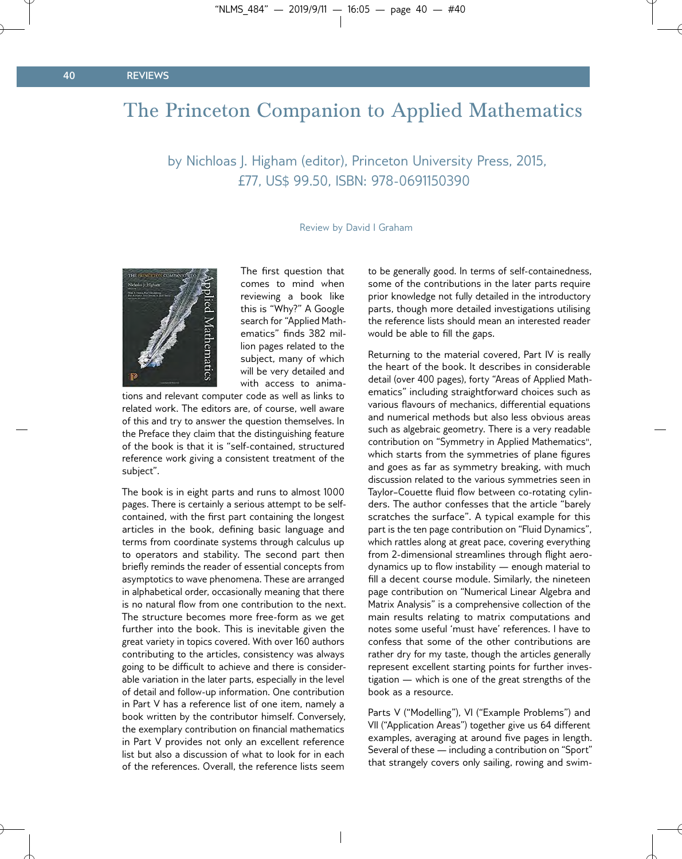## The Princeton Companion to Applied Mathematics

by Nichloas J. Higham (editor), Princeton University Press, 2015, £77, US\$ 99.50, ISBN: 978-0691150390

Review by David I Graham



The first question that comes to mind when reviewing a book like this is "Why?" A Google search for "Applied Mathematics" finds 382 million pages related to the subject, many of which will be very detailed and with access to anima-

tions and relevant computer code as well as links to related work. The editors are, of course, well aware of this and try to answer the question themselves. In the Preface they claim that the distinguishing feature of the book is that it is "self-contained, structured reference work giving a consistent treatment of the subject".

The book is in eight parts and runs to almost 1000 pages. There is certainly a serious attempt to be selfcontained, with the first part containing the longest articles in the book, defining basic language and terms from coordinate systems through calculus up to operators and stability. The second part then briefly reminds the reader of essential concepts from asymptotics to wave phenomena. These are arranged in alphabetical order, occasionally meaning that there is no natural flow from one contribution to the next. The structure becomes more free-form as we get further into the book. This is inevitable given the great variety in topics covered. With over 160 authors contributing to the articles, consistency was always going to be difficult to achieve and there is considerable variation in the later parts, especially in the level of detail and follow-up information. One contribution in Part V has a reference list of one item, namely a book written by the contributor himself. Conversely, the exemplary contribution on financial mathematics in Part V provides not only an excellent reference list but also a discussion of what to look for in each of the references. Overall, the reference lists seem

to be generally good. In terms of self-containedness, some of the contributions in the later parts require prior knowledge not fully detailed in the introductory parts, though more detailed investigations utilising the reference lists should mean an interested reader would be able to fill the gaps.

Returning to the material covered, Part IV is really the heart of the book. It describes in considerable detail (over 400 pages), forty "Areas of Applied Mathematics" including straightforward choices such as various flavours of mechanics, differential equations and numerical methods but also less obvious areas such as algebraic geometry. There is a very readable contribution on "Symmetry in Applied Mathematics", which starts from the symmetries of plane figures and goes as far as symmetry breaking, with much discussion related to the various symmetries seen in Taylor-Couette fluid flow between co-rotating cylinders. The author confesses that the article "barely scratches the surface". A typical example for this part is the ten page contribution on "Fluid Dynamics", which rattles along at great pace, covering everything from 2-dimensional streamlines through flight aerodynamics up to flow instability  $-$  enough material to fill a decent course module. Similarly, the nineteen page contribution on "Numerical Linear Algebra and Matrix Analysis" is a comprehensive collection of the main results relating to matrix computations and notes some useful 'must have' references. I have to confess that some of the other contributions are rather dry for my taste, though the articles generally represent excellent starting points for further investigation — which is one of the great strengths of the book as a resource.

Parts V ("Modelling"), VI ("Example Problems") and VII ("Application Areas") together give us 64 different examples, averaging at around five pages in length. Several of these — including a contribution on "Sport" that strangely covers only sailing, rowing and swim